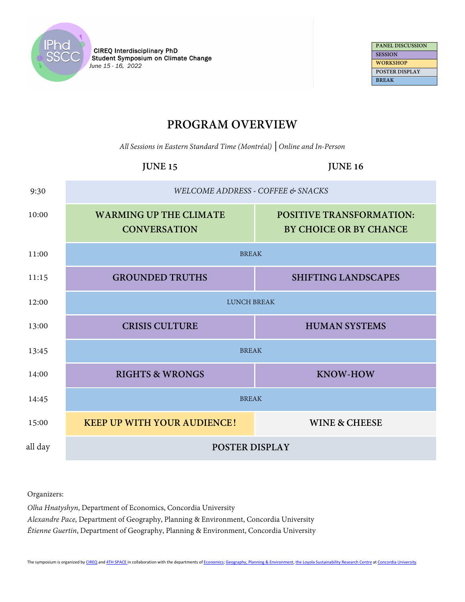

**PANEL DISCUSSION SESSION WORKSHOP POSTER DISPLAY BREAK**

## **PROGRAM OVERVIEW**

*All Sessions in Eastern Standard Time (Montréal)* **│***Online and In-Person*

# **JUNE 15 JUNE 16** 9:30 *WELCOME ADDRESS - COFFEE & SNACKS* 10:00 **WARMING UP THE CLIMATE CONVERSATION POSITIVE TRANSFORMATION: BY CHOICE OR BY CHANCE** 11:00 BREAK 11:15 **GROUNDED TRUTHS SHIFTING LANDSCAPES** 12:00 LUNCH BREAK 13:00 **CRISIS CULTURE HUMAN SYSTEMS** 13:45 BREAK 14:00 **RIGHTS & WRONGS KNOW-HOW** 14:45 BREAK 15:00 **KEEP UP WITH YOUR AUDIENCE! WINE & CHEESE** all day **POSTER DISPLAY**

Organizers:

*Olha Hnatyshyn*, Department of Economics, Concordia University *Alexandre Pace*, Department of Geography, Planning & Environment, Concordia University *Étienne Guertin*, Department of Geography, Planning & Environment, Concordia University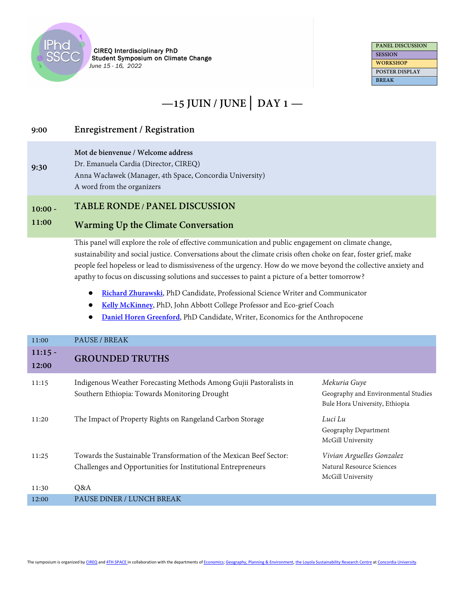

**9:30**

**CIREQ Interdisciplinary PhD** Student Symposium on Climate Change June 15 - 16, 2022

**PANEL DISCUSSION SESSION WORKSHOP POSTER DISPLAY BREAK**

# **—15 JUIN / JUNE│ DAY 1 —**

## **9:00 Enregistrement / Registration**

**Mot de bienvenue / Welcome address** 

Dr. Emanuela Cardia (Director, CIREQ)

Anna Wacławek (Manager, 4th Space, Concordia University) A word from the organizers

**10:00 - TABLE RONDE / PANEL DISCUSSION**

### **11:00 Warming Up the Climate Conversation**

This panel will explore the role of effective communication and public engagement on climate change, sustainability and social justice. Conversations about the climate crisis often choke on fear, foster grief, make people feel hopeless or lead to dismissiveness of the urgency. How do we move beyond the collective anxiety and apathy to focus on discussing solutions and successes to paint a picture of a better tomorrow?

- **[Richard Zhurawski](https://www.richardzurawski.ca/my-resume.html)**, PhD Candidate, Professional Science Writer and Communicator
- **[Kelly McKinney](https://www.kellymckinneycoaching.com/)**, PhD, John Abbott College Professor and Eco-grief Coach
- **[Daniel Horen Greenford](https://muckrack.com/daniel-horen-greenford)**, [P](https://muckrack.com/daniel-horen-greenford)hD Candidate, Writer, Economics for the Anthropocene

| 11:00              | PAUSE / BREAK                                                                                                                      |                                                                                       |
|--------------------|------------------------------------------------------------------------------------------------------------------------------------|---------------------------------------------------------------------------------------|
| $11:15 -$<br>12:00 | <b>GROUNDED TRUTHS</b>                                                                                                             |                                                                                       |
| 11:15              | Indigenous Weather Forecasting Methods Among Gujii Pastoralists in<br>Southern Ethiopia: Towards Monitoring Drought                | Mekuria Guye<br>Geography and Environmental Studies<br>Bule Hora University, Ethiopia |
| 11:20              | The Impact of Property Rights on Rangeland Carbon Storage                                                                          | Luci Lu<br>Geography Department<br>McGill University                                  |
| 11:25              | Towards the Sustainable Transformation of the Mexican Beef Sector:<br>Challenges and Opportunities for Institutional Entrepreneurs | Vivian Arguelles Gonzalez<br>Natural Resource Sciences<br>McGill University           |
| 11:30              | O&A                                                                                                                                |                                                                                       |
| 12:00              | PAUSE DÎNER / LUNCH BREAK                                                                                                          |                                                                                       |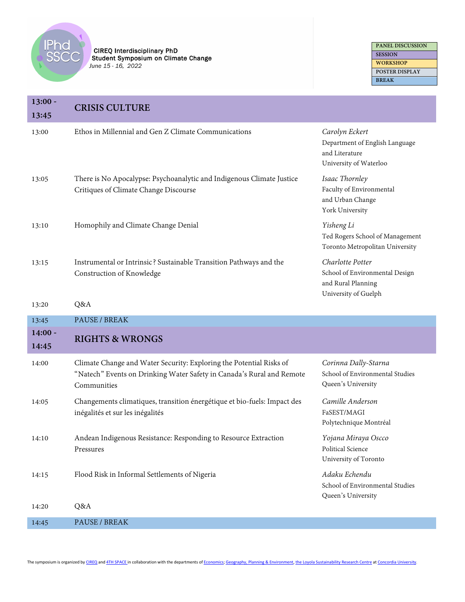

| $13:00 -$<br>13:45 | <b>CRISIS CULTURE</b>                                                                                                                                       |                                                                                                  |
|--------------------|-------------------------------------------------------------------------------------------------------------------------------------------------------------|--------------------------------------------------------------------------------------------------|
| 13:00              | Ethos in Millennial and Gen Z Climate Communications                                                                                                        | Carolyn Eckert<br>Department of English Language<br>and Literature<br>University of Waterloo     |
| 13:05              | There is No Apocalypse: Psychoanalytic and Indigenous Climate Justice<br>Critiques of Climate Change Discourse                                              | Isaac Thornley<br>Faculty of Environmental<br>and Urban Change<br>York University                |
| 13:10              | Homophily and Climate Change Denial                                                                                                                         | Yisheng Li<br>Ted Rogers School of Management<br>Toronto Metropolitan University                 |
| 13:15              | Instrumental or Intrinsic? Sustainable Transition Pathways and the<br>Construction of Knowledge                                                             | Charlotte Potter<br>School of Environmental Design<br>and Rural Planning<br>University of Guelph |
| 13:20              | Q&A                                                                                                                                                         |                                                                                                  |
|                    |                                                                                                                                                             |                                                                                                  |
| 13:45              | PAUSE / BREAK                                                                                                                                               |                                                                                                  |
| $14:00 -$<br>14:45 | <b>RIGHTS &amp; WRONGS</b>                                                                                                                                  |                                                                                                  |
| 14:00              | Climate Change and Water Security: Exploring the Potential Risks of<br>"Natech" Events on Drinking Water Safety in Canada's Rural and Remote<br>Communities | Corinna Dally-Starna<br>School of Environmental Studies<br>Queen's University                    |
| 14:05              | Changements climatiques, transition énergétique et bio-fuels: Impact des<br>inégalités et sur les inégalités                                                | Camille Anderson<br>FaSEST/MAGI<br>Polytechnique Montréal                                        |
| 14:10              | Andean Indigenous Resistance: Responding to Resource Extraction<br>Pressures                                                                                | Yojana Miraya Oscco<br>Political Science<br>University of Toronto                                |
| 14:15              | Flood Risk in Informal Settlements of Nigeria                                                                                                               | Adaku Echendu<br>School of Environmental Studies<br>Queen's University                           |
| 14:20              | Q&A<br>PAUSE / BREAK                                                                                                                                        |                                                                                                  |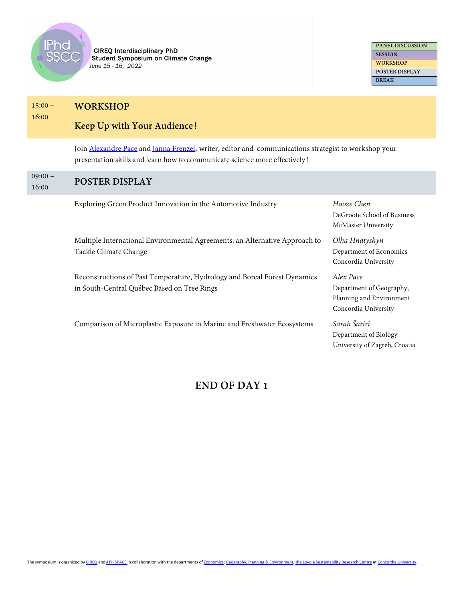

**PANEL DISCUSSION SESSION WORKSHOP POSTER DISPLAY BREAK**

#### $15:00 -$ **WORKSHOP**

16:00

## **Keep Up with Your Audience!**

Join [Alexandre Pace](https://www.concordia.ca/artsci/research/loyola-sustainability/people/alexandrepace.html) and [Janna Frenzel](https://www.concordia.ca/content/shared/en/profiles/artsci/coms/phd/janna-frenzel.html), writer, editor and communications strategist to workshop your presentation skills and learn how to communicate science more effectively!

### $09:00 -$ 16:00 **POSTER DISPLAY**

Exploring Green Product Innovation in the Automotive Industry *Haoze Chen*

Multiple International Environmental Agreements: an Alternative Approach to Tackle Climate Change

Reconstructions of Past Temperature, Hydrology and Boreal Forest Dynamics in South-Central Québec Based on Tree Rings

Comparison of Microplastic Exposure in Marine and Freshwater Ecosystems *Sarah Šariri*

## DeGroote School of Business McMaster University

*Olha Hnatyshyn* Department of Economics Concordia University

*Alex Pace*  Department of Geography, Planning and Environment Concordia University

Department of Biology University of Zagreb, Croatia

## **END OF DAY 1**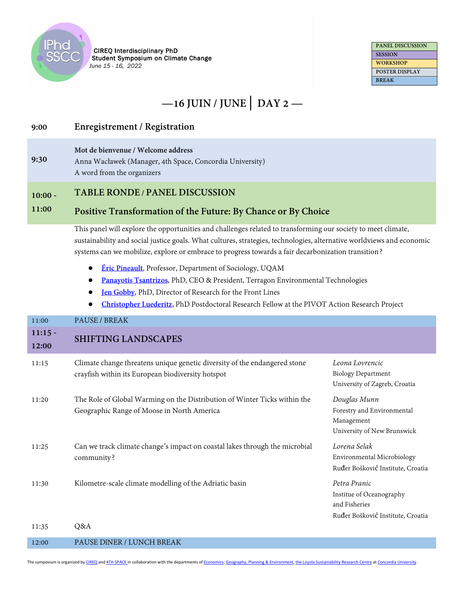

**PANEL DISCUSSION SESSION WORKSHOP POSTER DISPLAY BREAK**

# **—16 JUIN / JUNE│ DAY 2 —**

## **9:00 Enregistrement / Registration**

**Mot de bienvenue / Welcome address** 

**9:30** Anna Wacławek (Manager, 4th Space, Concordia University) A word from the organizers

#### **10:00 - TABLE RONDE / PANEL DISCUSSION**

### **11:00 Positive Transformation of the Future: By Chance or By Choice**

This panel will explore the opportunities and challenges related to transforming our society to meet climate, sustainability and social justice goals. What cultures, strategies, technologies, alternative worldviews and economic systems can we mobilize, explore or embrace to progress towards a fair decarbonization transition?

- **[Éric Pineault](https://professeurs.uqam.ca/professeur/pineault.eric/)**, Professor, Department of Sociology, UQAM
- **[Panayotis Tsantrizos](https://terragon.net/our-team/dr-panayotis-peter-tsantrizos/)**, PhD, CEO & President, Terragon Environmental Technologies
- **[Jen Gobby](https://jengobby.wordpress.com/)**, PhD, Director of Research for the Front Lines
- **[Christopher Luederitz](https://www.gopivot.org/about)**, PhD Postdoctoral Research Fellow at the PIVOT Action Research Project

| 11:00              | PAUSE / BREAK                                                                                                                  |                                                                                                |
|--------------------|--------------------------------------------------------------------------------------------------------------------------------|------------------------------------------------------------------------------------------------|
| $11:15 -$<br>12:00 | <b>SHIFTING LANDSCAPES</b>                                                                                                     |                                                                                                |
| 11:15              | Climate change threatens unique genetic diversity of the endangered stone<br>crayfish within its European biodiversity hotspot | Leona Lovrencic<br><b>Biology Department</b><br>University of Zagreb, Croatia                  |
| 11:20              | The Role of Global Warming on the Distribution of Winter Ticks within the<br>Geographic Range of Moose in North America        | Douglas Munn<br>Forestry and Environmental<br>Management<br>University of New Brunswick        |
| 11:25              | Can we track climate change's impact on coastal lakes through the microbial<br>community?                                      | Lorena Selak<br>Environmental Microbiology<br>Ruđer Bošković Institute, Croatia                |
| 11:30              | Kilometre-scale climate modelling of the Adriatic basin                                                                        | Petra Pranic<br>Institue of Oceanography<br>and Fisheries<br>Ruđer Bošković Institute, Croatia |
| 11:35              | O&A                                                                                                                            |                                                                                                |

12:00 PAUSE DîNER / LUNCH BREAK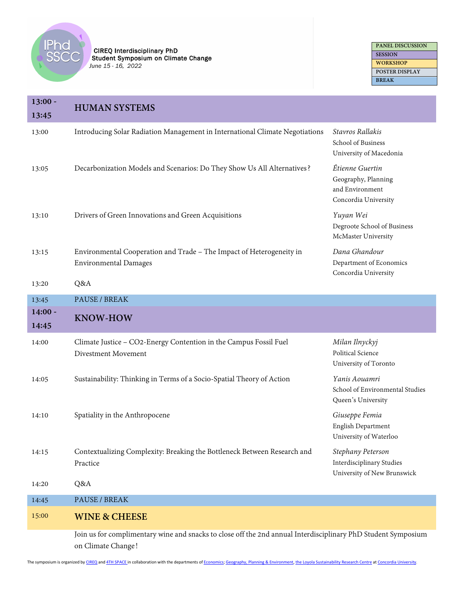

| <b>PANEL DISCUSSION</b> |
|-------------------------|
| <b>SESSION</b>          |
| <b>WORKSHOP</b>         |
| <b>POSTER DISPLAY</b>   |
| <b>BREAK</b>            |

| $13:00 -$<br>13:45 | <b>HUMAN SYSTEMS</b>                                                                                                                |                                                                                   |
|--------------------|-------------------------------------------------------------------------------------------------------------------------------------|-----------------------------------------------------------------------------------|
| 13:00              | Introducing Solar Radiation Management in International Climate Negotiations                                                        | Stavros Rallakis<br>School of Business<br>University of Macedonia                 |
| 13:05              | Decarbonization Models and Scenarios: Do They Show Us All Alternatives?                                                             | Étienne Guertin<br>Geography, Planning<br>and Environment<br>Concordia University |
| 13:10              | Drivers of Green Innovations and Green Acquisitions                                                                                 | Yuyan Wei<br>Degroote School of Business<br>McMaster University                   |
| 13:15              | Environmental Cooperation and Trade - The Impact of Heterogeneity in<br><b>Environmental Damages</b>                                | Dana Ghandour<br>Department of Economics<br>Concordia University                  |
| 13:20              | Q&A                                                                                                                                 |                                                                                   |
| 13:45              | PAUSE / BREAK                                                                                                                       |                                                                                   |
| $14:00 -$<br>14:45 | <b>KNOW-HOW</b>                                                                                                                     |                                                                                   |
| 14:00              | Climate Justice - CO2-Energy Contention in the Campus Fossil Fuel<br>Divestment Movement                                            | Milan Ilnyckyj<br>Political Science<br>University of Toronto                      |
| 14:05              | Sustainability: Thinking in Terms of a Socio-Spatial Theory of Action                                                               | Yanis Aouamri<br>School of Environmental Studies<br>Queen's University            |
| 14:10              | Spatiality in the Anthropocene                                                                                                      | Giuseppe Femia<br>English Department<br>University of Waterloo                    |
| 14:15              | Contextualizing Complexity: Breaking the Bottleneck Between Research and<br>Practice                                                | Stephany Peterson<br>Interdisciplinary Studies<br>University of New Brunswick     |
| 14:20              | Q&A                                                                                                                                 |                                                                                   |
| 14:45              | PAUSE / BREAK                                                                                                                       |                                                                                   |
| 15:00              | <b>WINE &amp; CHEESE</b>                                                                                                            |                                                                                   |
|                    | Join us for complimentary wine and snacks to close off the 2nd annual Interdisciplinary PhD Student Symposium<br>on Climate Change! |                                                                                   |